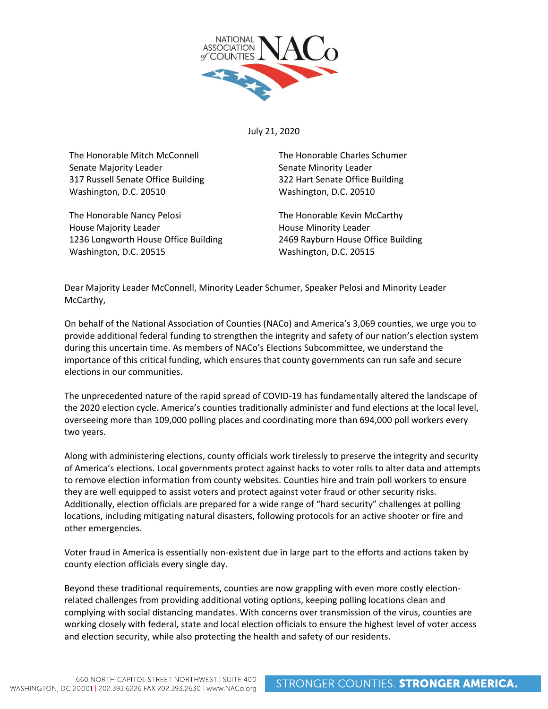

July 21, 2020

The Honorable Mitch McConnell Senate Majority Leader 317 Russell Senate Office Building Washington, D.C. 20510

The Honorable Nancy Pelosi House Majority Leader 1236 Longworth House Office Building Washington, D.C. 20515

The Honorable Charles Schumer Senate Minority Leader 322 Hart Senate Office Building Washington, D.C. 20510

The Honorable Kevin McCarthy House Minority Leader 2469 Rayburn House Office Building Washington, D.C. 20515

Dear Majority Leader McConnell, Minority Leader Schumer, Speaker Pelosi and Minority Leader McCarthy,

On behalf of the National Association of Counties (NACo) and America's 3,069 counties, we urge you to provide additional federal funding to strengthen the integrity and safety of our nation's election system during this uncertain time. As members of NACo's Elections Subcommittee, we understand the importance of this critical funding, which ensures that county governments can run safe and secure elections in our communities.

The unprecedented nature of the rapid spread of COVID-19 has fundamentally altered the landscape of the 2020 election cycle. America's counties traditionally administer and fund elections at the local level, overseeing more than 109,000 polling places and coordinating more than 694,000 poll workers every two years.

Along with administering elections, county officials work tirelessly to preserve the integrity and security of America's elections. Local governments protect against hacks to voter rolls to alter data and attempts to remove election information from county websites. Counties hire and train poll workers to ensure they are well equipped to assist voters and protect against voter fraud or other security risks. Additionally, election officials are prepared for a wide range of "hard security" challenges at polling locations, including mitigating natural disasters, following protocols for an active shooter or fire and other emergencies.

Voter fraud in America is essentially non-existent due in large part to the efforts and actions taken by county election officials every single day.

Beyond these traditional requirements, counties are now grappling with even more costly electionrelated challenges from providing additional voting options, keeping polling locations clean and complying with social distancing mandates. With concerns over transmission of the virus, counties are working closely with federal, state and local election officials to ensure the highest level of voter access and election security, while also protecting the health and safety of our residents.